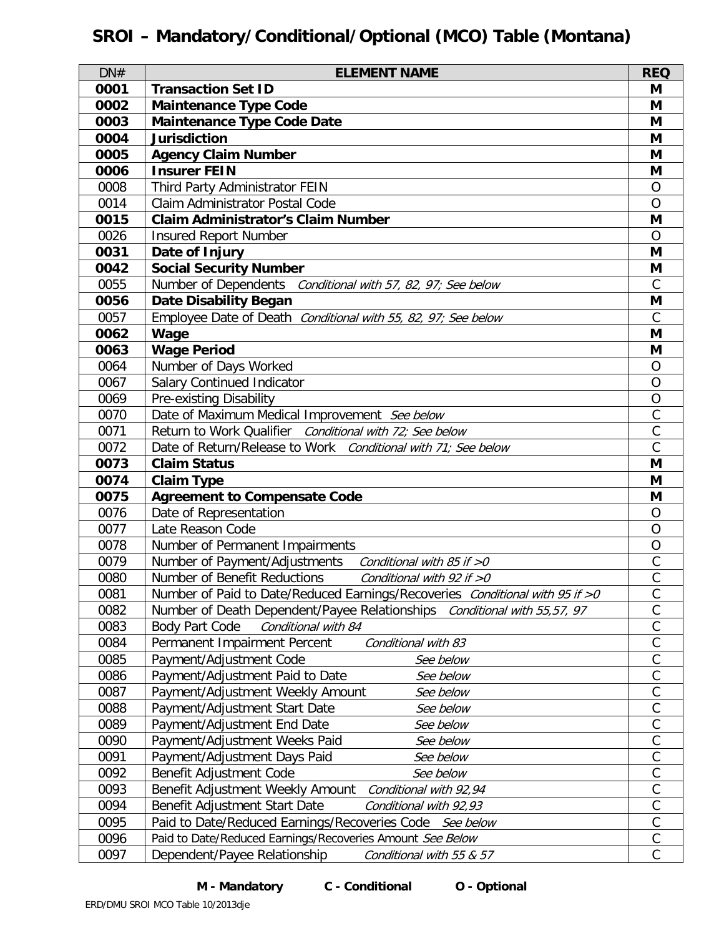# **SROI – Mandatory/Conditional/Optional (MCO) Table (Montana)**

| DN#          | <b>ELEMENT NAME</b>                                                          | <b>REQ</b>     |
|--------------|------------------------------------------------------------------------------|----------------|
| 0001         | <b>Transaction Set ID</b>                                                    | M              |
| 0002         | <b>Maintenance Type Code</b>                                                 | M              |
| 0003         | <b>Maintenance Type Code Date</b>                                            | M              |
| 0004         | <b>Jurisdiction</b>                                                          | M              |
| 0005         | <b>Agency Claim Number</b>                                                   | M              |
| 0006         | <b>Insurer FEIN</b>                                                          | M              |
| 0008         | Third Party Administrator FEIN                                               | $\overline{O}$ |
| 0014         | Claim Administrator Postal Code                                              | $\overline{O}$ |
| 0015         | <b>Claim Administrator's Claim Number</b>                                    | M              |
| 0026         | <b>Insured Report Number</b>                                                 | $\Omega$       |
| 0031         | Date of Injury                                                               | M              |
| 0042         | <b>Social Security Number</b>                                                | M              |
| 0055         | Number of Dependents Conditional with 57, 82, 97; See below                  | $\mathcal{C}$  |
| 0056         | <b>Date Disability Began</b>                                                 | M              |
| 0057         | Employee Date of Death Conditional with 55, 82, 97; See below                | $\mathcal{C}$  |
| 0062         | Wage                                                                         | M              |
| 0063         | <b>Wage Period</b>                                                           | M              |
| 0064         | Number of Days Worked                                                        | $\circ$        |
| 0067         | Salary Continued Indicator                                                   | $\overline{O}$ |
| 0069         | Pre-existing Disability                                                      | $\overline{O}$ |
| 0070         | Date of Maximum Medical Improvement See below                                | $\mathsf C$    |
| 0071         | Return to Work Qualifier Conditional with 72; See below                      | $\mathsf{C}$   |
| 0072         | Date of Return/Release to Work Conditional with 71; See below                | $\mathsf{C}$   |
| 0073         | <b>Claim Status</b>                                                          | M<br>M         |
| 0074<br>0075 | <b>Claim Type</b><br><b>Agreement to Compensate Code</b>                     | M              |
| 0076         | Date of Representation                                                       | $\overline{O}$ |
| 0077         | Late Reason Code                                                             | $\overline{O}$ |
| 0078         | Number of Permanent Impairments                                              | $\overline{O}$ |
| 0079         | Number of Payment/Adjustments<br>Conditional with 85 if >0                   | $\mathsf{C}$   |
| 0080         | Number of Benefit Reductions<br>Conditional with 92 if $>0$                  | $\mathcal{C}$  |
| 0081         | Number of Paid to Date/Reduced Earnings/Recoveries Conditional with 95 if >0 | С              |
| 0082         | Number of Death Dependent/Payee Relationships Conditional with 55,57, 97     | $\mathsf{C}$   |
| 0083         | Body Part Code<br>Conditional with 84                                        | $\mathsf C$    |
| 0084         | Permanent Impairment Percent<br>Conditional with 83                          | $\mathsf C$    |
| 0085         | Payment/Adjustment Code<br>See below                                         | $\mathcal{C}$  |
| 0086         | Payment/Adjustment Paid to Date<br>See below                                 | $\mathsf C$    |
| 0087         | Payment/Adjustment Weekly Amount<br>See below                                | $\mathsf{C}$   |
| 0088         | Payment/Adjustment Start Date<br>See below                                   | $\mathsf C$    |
| 0089         | Payment/Adjustment End Date<br>See below                                     | $\mathsf{C}$   |
| 0090         | Payment/Adjustment Weeks Paid<br>See below                                   | $\mathsf C$    |
| 0091         | Payment/Adjustment Days Paid<br>See below                                    | $\mathsf C$    |
| 0092         | Benefit Adjustment Code<br>See below                                         | C              |
| 0093         | Benefit Adjustment Weekly Amount<br>Conditional with 92,94                   | $\mathsf{C}$   |
| 0094         | Benefit Adjustment Start Date<br>Conditional with 92,93                      | $\mathsf C$    |
| 0095         | Paid to Date/Reduced Earnings/Recoveries Code See below                      | $\mathsf C$    |
| 0096         | Paid to Date/Reduced Earnings/Recoveries Amount See Below                    | $\mathsf C$    |
| 0097         | Dependent/Payee Relationship<br>Conditional with 55 & 57                     | $\mathsf C$    |

### **M - Mandatory C - Conditional O - Optional**